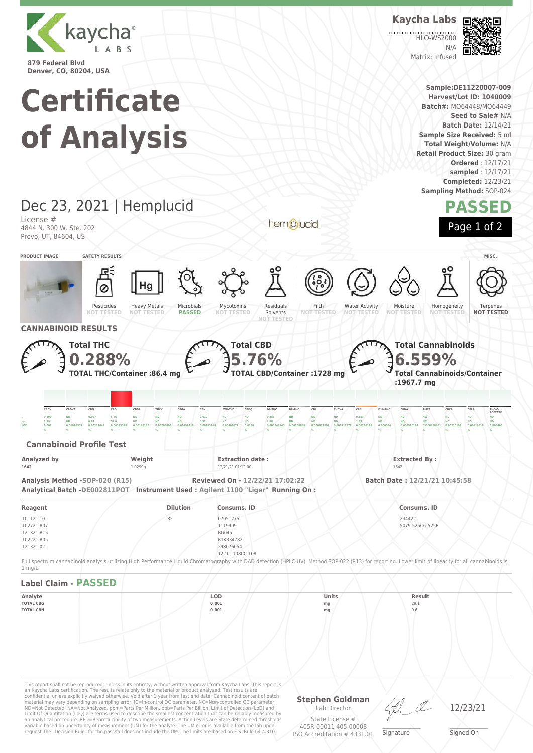

# **Certificate of Analysis**

## Matrix: Infused **Sample:DE11220007-009 Harvest/Lot ID: 1040009 Batch#:** MO64448/MO64449 **Seed to Sale#** N/A **Batch Date:** 12/14/21 **Sample Size Received:** 5 ml **Total Weight/Volume:** N/A

**Kaycha Labs**

**HLO-WS2000**  $N/L$ 

**Retail Product Size:** 30 gram **Ordered** : 12/17/21 **sampled** : 12/17/21 **Completed:** 12/23/21 **Sampling Method:** SOP-024

ы

**PASSED**

Page 1 of 2

## Dec 23, 2021 | Hemplucid License #

4844 N. 300 W. Ste. 202 Provo, UT, 84604, US

**PRODUCT IMAGE SAFETY RESULTS MISC.** Pesticides **NOT TESTED** Heavy Metals **NOT TESTED** Microbials **PASSED** Mycotoxins **NOT TESTED** Residuals Solvents **NOT TESTED** Filth **NOT TESTED** Water Activity **NOT TESTED** Moisture **NOT TESTED** Homogeneity **NOT** Terpenes **NOT TESTED CANNABINOID RESULTS Total THC 0.288% TOTAL THC/Container :86.4 mg Total CBD 5.76% TOTAL CBD/Container :1728 mg Total Cannabinoids 6.559% Total Cannabinoids/Container :1967.7 mg** CBDV CBDVA CBG CBD CBDA THCV CBGA CBN EXO-THC CBDQ D9-THC D8-THC CBL THCVA CBC D10-THC CBNA THCA CBCA CBLA THC-O **ACETATE** , 0.199 ND 0.097 5.76 ND ND ND 0.032 ND ND 0.288 ND ND 0.0183 ND ND ND ND ND ND ND ND ND ND <sub>====</sub>+ 1.99 ND 0.97 57.6 ND ND ND 0.32 ND ND 2.88 ND ND ND 1.83 ND ND ND ND ND ND ND ND  $\,$  0.001  $\,$  0.00070559 0.00219044 0.00333396 0.00125116 0.00205806 0.00192419 0.00183167 0.00401072 0.0148 0.000847945 0.000847945 0.000921807 0.0009717378 0.00268194 0.0005344 0.000910194 0.000458461 0.0021199 0.0014 **% % % % % % % % % % % % % % % % % % % % % Cannabinoid Profile Test Analyzed by Weight Extraction date : Extraction date : Extracted By : Extracted By : Extracted By : Extracted By : Extracted By : Extracted By : Properties 1642** 1.0299g 12/21/21 01:12:00 1642 **Analysis Method -SOP-020 (R15) Reviewed On - 12/22/21 17:02:22 Batch Date : 12/21/21 10:45:58 Analytical Batch -DE002811POT Instrument Used : Agilent 1100 "Liger" Running On : Reagent Dilution Consums. ID Consums. ID** 101121.10 102721.R07 121321.R15 102221.R05 121321.02 82 07051275 1119999 BG045 R1KB34782 298076054 12211-108CC-108 234427 5079-525C6-525E Full spectrum cannabinoid analysis utilizing High Performance Liquid Chromatography with DAD detection (HPLC-UV). Method SOP-022 (R13) for reporting. Lower limit of linearity for all cannabinoids is 1 mg/L. **Label Claim - PASSED Analyte LOD Units Result TOTAL CBG 0.001 mg** 29.1 **TOTAL CBN 0.001 mg** 9.6

hemplucid

This report shall not be reproduced, unless in its entirety, without written approval from Kaycha Labs. This report is<br>an Kaycha Labs certification. The results relate only to the material or product analyzed. Test results material may vary depending on sampling error. IC=In-control QC parameter, NC=Non-controlled QC parameter,<br>ND=Not Detected, NA=Not Analyzed, ppm=Parts Per Million, ppb=Parts Per Billion. Limit of Detection (LoD) and<br>Limit an analytical procedure. RPD=Reproducibility of two measurements. Action Levels are State determined thresholds variable based on uncertainty of measurement (UM) for the analyte. The UM error is available from the lab upon request.The "Decision Rule" for the pass/fail does not include the UM. The limits are based on F.S. Rule 64-4.310.

**Stephen Goldman** Lab Director

 $\_\_\_\_\_\_\_\_\_\_\_\_\_\_$ 

12/23/21

State License # 405R-00011 405-00008 ISO Accreditation # 4331.01 **Signature** 

Signed On